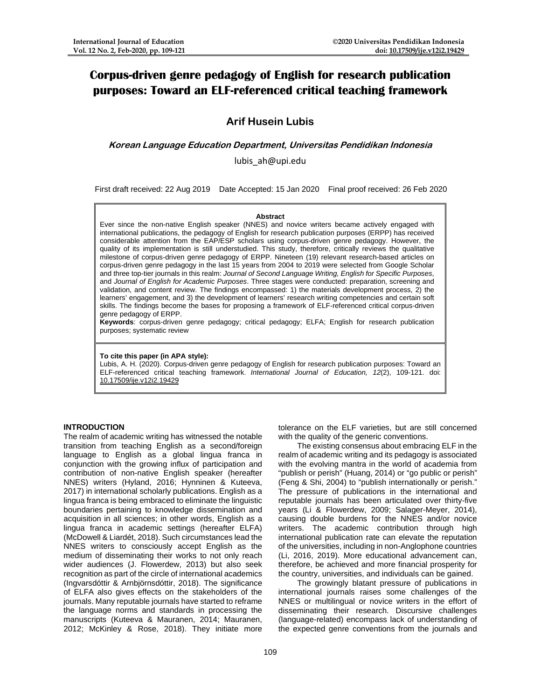# **Corpus-driven genre pedagogy of English for research publication purposes: Toward an ELF-referenced critical teaching framework**

# **Arif Husein Lubis**

**Korean Language Education Department, Universitas Pendidikan Indonesia**

lubis\_ah@upi.edu

First draft received: 22 Aug 2019 Date Accepted: 15 Jan 2020 Final proof received: 26 Feb 2020

#### **Abstract**

Ever since the non-native English speaker (NNES) and novice writers became actively engaged with international publications, the pedagogy of English for research publication purposes (ERPP) has received considerable attention from the EAP/ESP scholars using corpus-driven genre pedagogy. However, the quality of its implementation is still understudied. This study, therefore, critically reviews the qualitative milestone of corpus-driven genre pedagogy of ERPP. Nineteen (19) relevant research-based articles on corpus-driven genre pedagogy in the last 15 years from 2004 to 2019 were selected from Google Scholar and three top-tier journals in this realm: *Journal of Second Language Writing, English for Specific Purposes*, and *Journal of English for Academic Purposes*. Three stages were conducted: preparation, screening and validation, and content review. The findings encompassed: 1) the materials development process, 2) the learners' engagement, and 3) the development of learners' research writing competencies and certain soft skills. The findings become the bases for proposing a framework of ELF-referenced critical corpus-driven genre pedagogy of ERPP.

**Keywords**: corpus-driven genre pedagogy; critical pedagogy; ELFA; English for research publication purposes; systematic review

# **To cite this paper (in APA style):**

Lubis, A. H. (2020). Corpus-driven genre pedagogy of English for research publication purposes: Toward an ELF-referenced critical teaching framework. *International Journal of Education, 12*(2), 109-121. doi: [10.17509/ije.v12i2.19429](https://doi.org/10.17509/ije.v12i2.19429)

# **INTRODUCTION**

The realm of academic writing has witnessed the notable transition from teaching English as a second/foreign language to English as a global lingua franca in conjunction with the growing influx of participation and contribution of non-native English speaker (hereafter NNES) writers (Hyland, 2016; Hynninen & Kuteeva, 2017) in international scholarly publications. English as a lingua franca is being embraced to eliminate the linguistic boundaries pertaining to knowledge dissemination and acquisition in all sciences; in other words, English as a lingua franca in academic settings (hereafter ELFA) (McDowell & Liardét, 2018). Such circumstances lead the NNES writers to consciously accept English as the medium of disseminating their works to not only reach wider audiences (J. Flowerdew, 2013) but also seek recognition as part of the circle of international academics (Ingvarsdóttir & Arnbjörnsdóttir, 2018). The significance of ELFA also gives effects on the stakeholders of the journals. Many reputable journals have started to reframe the language norms and standards in processing the manuscripts (Kuteeva & Mauranen, 2014; Mauranen, 2012; McKinley & Rose, 2018). They initiate more

tolerance on the ELF varieties, but are still concerned with the quality of the generic conventions.

The existing consensus about embracing ELF in the realm of academic writing and its pedagogy is associated with the evolving mantra in the world of academia from "publish or perish" (Huang, 2014) or "go public or perish" (Feng & Shi, 2004) to "publish internationally or perish." The pressure of publications in the international and reputable journals has been articulated over thirty-five years (Li & Flowerdew, 2009; Salager-Meyer, 2014), causing double burdens for the NNES and/or novice<br>writers. The academic contribution through high The academic contribution through high international publication rate can elevate the reputation of the universities, including in non-Anglophone countries (Li, 2016, 2019). More educational advancement can, therefore, be achieved and more financial prosperity for the country, universities, and individuals can be gained.

The growingly blatant pressure of publications in international journals raises some challenges of the NNES or multilingual or novice writers in the effort of disseminating their research. Discursive challenges (language-related) encompass lack of understanding of the expected genre conventions from the journals and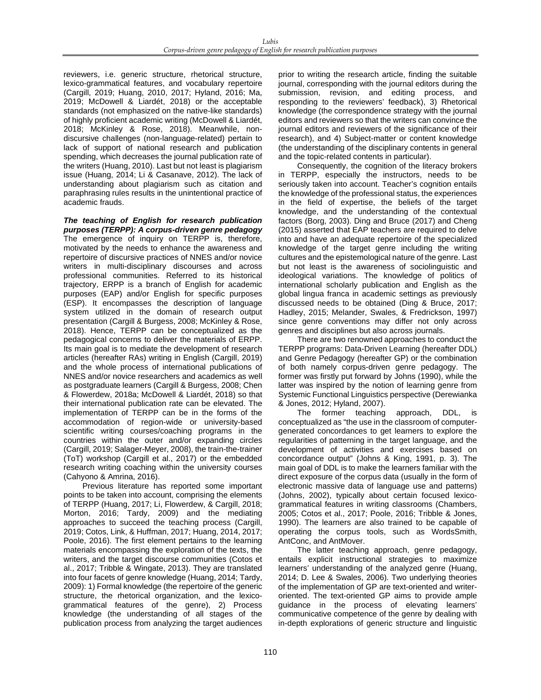reviewers, i.e. generic structure, rhetorical structure, lexico-grammatical features, and vocabulary repertoire (Cargill, 2019; Huang, 2010, 2017; Hyland, 2016; Ma, 2019; McDowell & Liardét, 2018) or the acceptable standards (not emphasized on the native-like standards) of highly proficient academic writing (McDowell & Liardét, 2018; McKinley & Rose, 2018). Meanwhile, nondiscursive challenges (non-language-related) pertain to lack of support of national research and publication spending, which decreases the journal publication rate of the writers (Huang, 2010). Last but not least is plagiarism issue (Huang, 2014; Li & Casanave, 2012). The lack of understanding about plagiarism such as citation and paraphrasing rules results in the unintentional practice of academic frauds.

*The teaching of English for research publication purposes (TERPP): A corpus-driven genre pedagogy* The emergence of inquiry on TERPP is, therefore, motivated by the needs to enhance the awareness and repertoire of discursive practices of NNES and/or novice writers in multi-disciplinary discourses and across professional communities. Referred to its historical trajectory, ERPP is a branch of English for academic purposes (EAP) and/or English for specific purposes (ESP). It encompasses the description of language system utilized in the domain of research output presentation (Cargill & Burgess, 2008; McKinley & Rose, 2018). Hence, TERPP can be conceptualized as the pedagogical concerns to deliver the materials of ERPP. Its main goal is to mediate the development of research articles (hereafter RAs) writing in English (Cargill, 2019) and the whole process of international publications of NNES and/or novice researchers and academics as well as postgraduate learners (Cargill & Burgess, 2008; Chen & Flowerdew, 2018a; McDowell & Liardét, 2018) so that their international publication rate can be elevated. The implementation of TERPP can be in the forms of the accommodation of region-wide or university-based scientific writing courses/coaching programs in the countries within the outer and/or expanding circles (Cargill, 2019; Salager-Meyer, 2008), the train-the-trainer (ToT) workshop (Cargill et al., 2017) or the embedded research writing coaching within the university courses (Cahyono & Amrina, 2016).

Previous literature has reported some important points to be taken into account, comprising the elements of TERPP (Huang, 2017; Li, Flowerdew, & Cargill, 2018; Morton, 2016; Tardy, 2009) and the mediating approaches to succeed the teaching process (Cargill, 2019; Cotos, Link, & Huffman, 2017; Huang, 2014, 2017; Poole, 2016). The first element pertains to the learning materials encompassing the exploration of the texts, the writers, and the target discourse communities (Cotos et al., 2017; Tribble & Wingate, 2013). They are translated into four facets of genre knowledge (Huang, 2014; Tardy, 2009): 1) Formal knowledge (the repertoire of the generic structure, the rhetorical organization, and the lexicogrammatical features of the genre), 2) Process knowledge (the understanding of all stages of the publication process from analyzing the target audiences

prior to writing the research article, finding the suitable journal, corresponding with the journal editors during the submission, revision, and editing process, and responding to the reviewers' feedback), 3) Rhetorical knowledge (the correspondence strategy with the journal editors and reviewers so that the writers can convince the journal editors and reviewers of the significance of their research), and 4) Subject-matter or content knowledge (the understanding of the disciplinary contents in general and the topic-related contents in particular).

Consequently, the cognition of the literacy brokers in TERPP, especially the instructors, needs to be seriously taken into account. Teacher's cognition entails the knowledge of the professional status, the experiences in the field of expertise, the beliefs of the target knowledge, and the understanding of the contextual factors (Borg, 2003). Ding and Bruce (2017) and Cheng (2015) asserted that EAP teachers are required to delve into and have an adequate repertoire of the specialized knowledge of the target genre including the writing cultures and the epistemological nature of the genre. Last but not least is the awareness of sociolinguistic and ideological variations. The knowledge of politics of international scholarly publication and English as the global lingua franca in academic settings as previously discussed needs to be obtained (Ding & Bruce, 2017; Hadley, 2015; Melander, Swales, & Fredrickson, 1997) since genre conventions may differ not only across genres and disciplines but also across journals.

There are two renowned approaches to conduct the TERPP programs: Data-Driven Learning (hereafter DDL) and Genre Pedagogy (hereafter GP) or the combination of both namely corpus-driven genre pedagogy. The former was firstly put forward by Johns (1990), while the latter was inspired by the notion of learning genre from Systemic Functional Linguistics perspective (Derewianka & Jones, 2012; Hyland, 2007).

The former teaching approach, DDL, conceptualized as "the use in the classroom of computergenerated concordances to get learners to explore the regularities of patterning in the target language, and the development of activities and exercises based on concordance output" (Johns & King, 1991, p. 3). The main goal of DDL is to make the learners familiar with the direct exposure of the corpus data (usually in the form of electronic massive data of language use and patterns) (Johns, 2002), typically about certain focused lexicogrammatical features in writing classrooms (Chambers, 2005; Cotos et al., 2017; Poole, 2016; Tribble & Jones, 1990). The learners are also trained to be capable of operating the corpus tools, such as WordsSmith, AntConc, and AntMover.

The latter teaching approach, genre pedagogy, entails explicit instructional strategies to maximize learners' understanding of the analyzed genre (Huang, 2014; D. Lee & Swales, 2006). Two underlying theories of the implementation of GP are text-oriented and writeroriented. The text-oriented GP aims to provide ample guidance in the process of elevating learners' communicative competence of the genre by dealing with in-depth explorations of generic structure and linguistic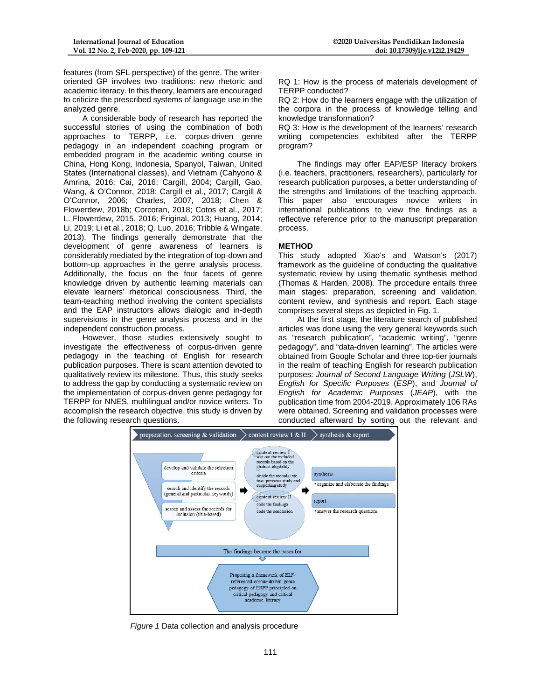features (from SFL perspective) of the genre. The writeroriented GP involves two traditions: new rhetoric and academic literacy. In this theory, learners are encouraged to criticize the prescribed systems of language use in the analyzed genre.

A considerable body of research has reported the successful stories of using the combination of both approaches to TERPP, i.e. corpus-driven genre pedagogy in an independent coaching program or embedded program in the academic writing course in China, Hong Kong, Indonesia, Spanyol, Taiwan, United States (International classes), and Vietnam (Cahyono & Amrina, 2016; Cai, 2016; Cargill, 2004; Cargill, Gao, Wang, & O'Connor, 2018; Cargill et al., 2017; Cargill & O'Connor, 2006; Charles, 2007, 2018; Chen & Flowerdew, 2018b; Corcoran, 2018; Cotos et al., 2017; L. Flowerdew, 2015, 2016; Friginal, 2013; Huang, 2014; Li, 2019; Li et al., 2018; Q. Luo, 2016; Tribble & Wingate, 2013). The findings generally demonstrate that the development of genre awareness of learners is considerably mediated by the integration of top-down and bottom-up approaches in the genre analysis process. Additionally, the focus on the four facets of genre knowledge driven by authentic learning materials can elevate learners' rhetorical consciousness. Third, the team-teaching method involving the content specialists and the EAP instructors allows dialogic and in-depth supervisions in the genre analysis process and in the independent construction process.

However, those studies extensively sought to investigate the effectiveness of corpus-driven genre pedagogy in the teaching of English for research publication purposes. There is scant attention devoted to qualitatively review its milestone. Thus, this study seeks to address the gap by conducting a systematic review on the implementation of corpus-driven genre pedagogy for TERPP for NNES, multilingual and/or novice writers. To accomplish the research objective, this study is driven by the following research questions.

RQ 1: How is the process of materials development of TERPP conducted?

RQ 2: How do the learners engage with the utilization of the corpora in the process of knowledge telling and knowledge transformation?

RQ 3: How is the development of the learners' research writing competencies exhibited after the TERPP program?

The findings may offer EAP/ESP literacy brokers (i.e. teachers, practitioners, researchers), particularly for research publication purposes, a better understanding of the strengths and limitations of the teaching approach. This paper also encourages novice writers in international publications to view the findings as a reflective reference prior to the manuscript preparation process.

# **METHOD**

This study adopted Xiao's and Watson's (2017) framework as the guideline of conducting the qualitative systematic review by using thematic synthesis method (Thomas & Harden, 2008). The procedure entails three main stages: preparation, screening and validation, content review, and synthesis and report. Each stage comprises several steps as depicted in Fig. 1.

At the first stage, the literature search of published articles was done using the very general keywords such as "research publication", "academic writing", "genre pedagogy", and "data-driven learning". The articles were obtained from Google Scholar and three top-tier journals in the realm of teaching English for research publication purposes: *Journal of Second Language Writing* (*JSLW*), *English for Specific Purposes* (*ESP*), and *Journal of English for Academic Purposes* (*JEAP*), with the publication time from 2004-2019. Approximately 106 RAs were obtained. Screening and validation processes were conducted afterward by sorting out the relevant and



*Figure 1* Data collection and analysis procedure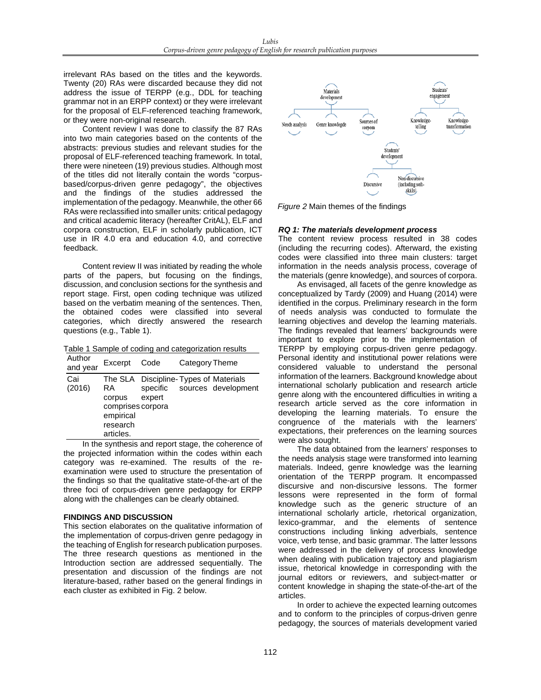irrelevant RAs based on the titles and the keywords. Twenty (20) RAs were discarded because they did not address the issue of TERPP (e.g., DDL for teaching grammar not in an ERPP context) or they were irrelevant for the proposal of ELF-referenced teaching framework, or they were non-original research.

Content review I was done to classify the 87 RAs into two main categories based on the contents of the abstracts: previous studies and relevant studies for the proposal of ELF-referenced teaching framework. In total, there were nineteen (19) previous studies. Although most of the titles did not literally contain the words "corpusbased/corpus-driven genre pedagogy", the objectives and the findings of the studies addressed the implementation of the pedagogy. Meanwhile, the other 66 RAs were reclassified into smaller units: critical pedagogy and critical academic literacy (hereafter CritAL), ELF and corpora construction, ELF in scholarly publication, ICT use in IR 4.0 era and education 4.0, and corrective feedback.

Content review II was initiated by reading the whole parts of the papers, but focusing on the findings, discussion, and conclusion sections for the synthesis and report stage. First, open coding technique was utilized based on the verbatim meaning of the sentences. Then, the obtained codes were classified into several categories, which directly answered the research questions (e.g., Table 1).

Table 1 Sample of coding and categorization results

| Author<br>and year | Excerpt                                                                            | Code                                                | Category Theme |                     |
|--------------------|------------------------------------------------------------------------------------|-----------------------------------------------------|----------------|---------------------|
| Cai<br>(2016)      | The SLA<br>RA<br>corpus<br>comprises corpora<br>empirical<br>research<br>articles. | Discipline-Types of Materials<br>specific<br>expert |                | sources development |

In the synthesis and report stage, the coherence of the projected information within the codes within each category was re-examined. The results of the reexamination were used to structure the presentation of the findings so that the qualitative state-of-the-art of the three foci of corpus-driven genre pedagogy for ERPP along with the challenges can be clearly obtained.

# **FINDINGS AND DISCUSSION**

This section elaborates on the qualitative information of the implementation of corpus-driven genre pedagogy in the teaching of English for research publication purposes. The three research questions as mentioned in the Introduction section are addressed sequentially. The presentation and discussion of the findings are not literature-based, rather based on the general findings in each cluster as exhibited in Fig. 2 below.



*Figure 2* Main themes of the findings

# *RQ 1: The materials development process*

The content review process resulted in 38 codes (including the recurring codes). Afterward, the existing codes were classified into three main clusters: target information in the needs analysis process, coverage of the materials (genre knowledge), and sources of corpora.

As envisaged, all facets of the genre knowledge as conceptualized by Tardy (2009) and Huang (2014) were identified in the corpus. Preliminary research in the form of needs analysis was conducted to formulate the learning objectives and develop the learning materials. The findings revealed that learners' backgrounds were important to explore prior to the implementation of TERPP by employing corpus-driven genre pedagogy. Personal identity and institutional power relations were considered valuable to understand the personal information of the learners. Background knowledge about international scholarly publication and research article genre along with the encountered difficulties in writing a research article served as the core information in developing the learning materials. To ensure the congruence of the materials with the learners' expectations, their preferences on the learning sources were also sought.

The data obtained from the learners' responses to the needs analysis stage were transformed into learning materials. Indeed, genre knowledge was the learning orientation of the TERPP program. It encompassed discursive and non-discursive lessons. The former lessons were represented in the form of formal knowledge such as the generic structure of an international scholarly article, rhetorical organization, lexico-grammar, and the elements of sentence constructions including linking adverbials, sentence voice, verb tense, and basic grammar. The latter lessons were addressed in the delivery of process knowledge when dealing with publication trajectory and plagiarism issue, rhetorical knowledge in corresponding with the journal editors or reviewers, and subject-matter or content knowledge in shaping the state-of-the-art of the articles.

In order to achieve the expected learning outcomes and to conform to the principles of corpus-driven genre pedagogy, the sources of materials development varied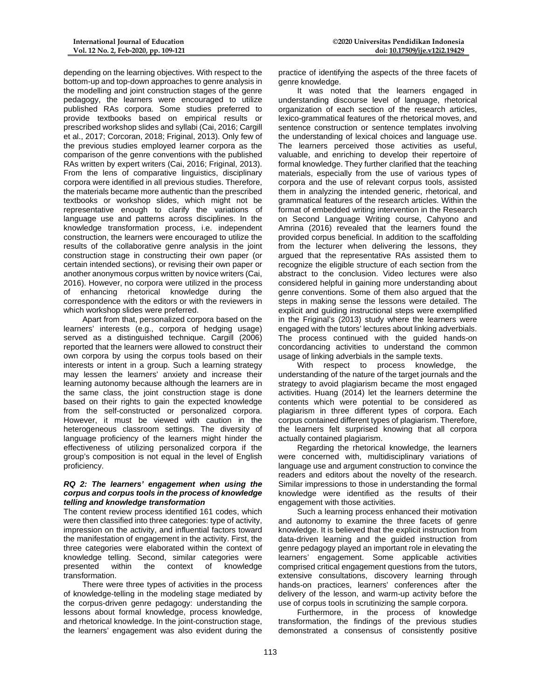depending on the learning objectives. With respect to the bottom-up and top-down approaches to genre analysis in the modelling and joint construction stages of the genre pedagogy, the learners were encouraged to utilize published RAs corpora. Some studies preferred to provide textbooks based on empirical results or prescribed workshop slides and syllabi (Cai, 2016; Cargill et al., 2017; Corcoran, 2018; Friginal, 2013). Only few of the previous studies employed learner corpora as the comparison of the genre conventions with the published RAs written by expert writers (Cai, 2016; Friginal, 2013). From the lens of comparative linguistics, disciplinary corpora were identified in all previous studies. Therefore, the materials became more authentic than the prescribed textbooks or workshop slides, which might not be representative enough to clarify the variations of language use and patterns across disciplines. In the knowledge transformation process, i.e. independent construction, the learners were encouraged to utilize the results of the collaborative genre analysis in the joint construction stage in constructing their own paper (or certain intended sections), or revising their own paper or another anonymous corpus written by novice writers (Cai, 2016). However, no corpora were utilized in the process of enhancing rhetorical knowledge during the correspondence with the editors or with the reviewers in which workshop slides were preferred.

Apart from that, personalized corpora based on the learners' interests (e.g., corpora of hedging usage) served as a distinguished technique. Cargill (2006) reported that the learners were allowed to construct their own corpora by using the corpus tools based on their interests or intent in a group. Such a learning strategy may lessen the learners' anxiety and increase their learning autonomy because although the learners are in the same class, the joint construction stage is done based on their rights to gain the expected knowledge from the self-constructed or personalized corpora. However, it must be viewed with caution in the heterogeneous classroom settings. The diversity of language proficiency of the learners might hinder the effectiveness of utilizing personalized corpora if the group's composition is not equal in the level of English proficiency.

#### *RQ 2: The learners' engagement when using the corpus and corpus tools in the process of knowledge telling and knowledge transformation*

The content review process identified 161 codes, which were then classified into three categories: type of activity, impression on the activity, and influential factors toward the manifestation of engagement in the activity. First, the three categories were elaborated within the context of knowledge telling. Second, similar categories were presented within the context of knowledge transformation.

There were three types of activities in the process of knowledge-telling in the modeling stage mediated by the corpus-driven genre pedagogy: understanding the lessons about formal knowledge, process knowledge, and rhetorical knowledge. In the joint-construction stage, the learners' engagement was also evident during the

practice of identifying the aspects of the three facets of genre knowledge.

It was noted that the learners engaged in understanding discourse level of language, rhetorical organization of each section of the research articles, lexico-grammatical features of the rhetorical moves, and sentence construction or sentence templates involving the understanding of lexical choices and language use. The learners perceived those activities as useful, valuable, and enriching to develop their repertoire of formal knowledge. They further clarified that the teaching materials, especially from the use of various types of corpora and the use of relevant corpus tools, assisted them in analyzing the intended generic, rhetorical, and grammatical features of the research articles. Within the format of embedded writing intervention in the Research on Second Language Writing course, Cahyono and Amrina (2016) revealed that the learners found the provided corpus beneficial. In addition to the scaffolding from the lecturer when delivering the lessons, they argued that the representative RAs assisted them to recognize the eligible structure of each section from the abstract to the conclusion. Video lectures were also considered helpful in gaining more understanding about genre conventions. Some of them also argued that the steps in making sense the lessons were detailed. The explicit and guiding instructional steps were exemplified in the Friginal's (2013) study where the learners were engaged with the tutors' lectures about linking adverbials. The process continued with the guided hands-on concordancing activities to understand the common usage of linking adverbials in the sample texts.

With respect to process knowledge, the understanding of the nature of the target journals and the strategy to avoid plagiarism became the most engaged activities. Huang (2014) let the learners determine the contents which were potential to be considered as plagiarism in three different types of corpora. Each corpus contained different types of plagiarism. Therefore, the learners felt surprised knowing that all corpora actually contained plagiarism.

Regarding the rhetorical knowledge, the learners were concerned with, multidisciplinary variations of language use and argument construction to convince the readers and editors about the novelty of the research. Similar impressions to those in understanding the formal knowledge were identified as the results of their engagement with those activities.

Such a learning process enhanced their motivation and autonomy to examine the three facets of genre knowledge. It is believed that the explicit instruction from data-driven learning and the guided instruction from genre pedagogy played an important role in elevating the learners' engagement. Some applicable activities comprised critical engagement questions from the tutors, extensive consultations, discovery learning through hands-on practices, learners' conferences after the delivery of the lesson, and warm-up activity before the use of corpus tools in scrutinizing the sample corpora.

Furthermore, in the process of knowledge transformation, the findings of the previous studies demonstrated a consensus of consistently positive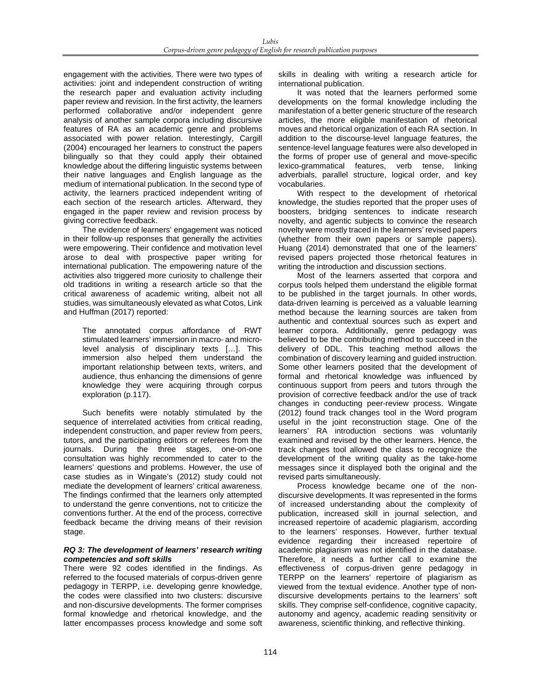engagement with the activities. There were two types of activities: joint and independent construction of writing the research paper and evaluation activity including paper review and revision. In the first activity, the learners performed collaborative and/or independent genre analysis of another sample corpora including discursive features of RA as an academic genre and problems associated with power relation. Interestingly, Cargill (2004) encouraged her learners to construct the papers bilingually so that they could apply their obtained knowledge about the differing linguistic systems between their native languages and English language as the medium of international publication. In the second type of activity, the learners practiced independent writing of each section of the research articles. Afterward, they engaged in the paper review and revision process by giving corrective feedback.

The evidence of learners' engagement was noticed in their follow-up responses that generally the activities were empowering. Their confidence and motivation level arose to deal with prospective paper writing for international publication. The empowering nature of the activities also triggered more curiosity to challenge their old traditions in writing a research article so that the critical awareness of academic writing, albeit not all studies, was simultaneously elevated as what Cotos, Link and Huffman (2017) reported:

The annotated corpus affordance of RWT stimulated learners' immersion in macro- and microlevel analysis of disciplinary texts […]. This immersion also helped them understand the important relationship between texts, writers, and audience, thus enhancing the dimensions of genre knowledge they were acquiring through corpus exploration (p.117).

Such benefits were notably stimulated by the sequence of interrelated activities from critical reading, independent construction, and paper review from peers, tutors, and the participating editors or referees from the journals. During the three stages, one-on-one consultation was highly recommended to cater to the learners' questions and problems. However, the use of case studies as in Wingate's (2012) study could not mediate the development of learners' critical awareness. The findings confirmed that the learners only attempted to understand the genre conventions, not to criticize the conventions further. At the end of the process, corrective feedback became the driving means of their revision stage.

#### *RQ 3: The development of learners' research writing competencies and soft skills*

There were 92 codes identified in the findings. As referred to the focused materials of corpus-driven genre pedagogy in TERPP, i.e. developing genre knowledge, the codes were classified into two clusters: discursive and non-discursive developments. The former comprises formal knowledge and rhetorical knowledge, and the latter encompasses process knowledge and some soft

skills in dealing with writing a research article for international publication.

It was noted that the learners performed some developments on the formal knowledge including the manifestation of a better generic structure of the research articles, the more eligible manifestation of rhetorical moves and rhetorical organization of each RA section. In addition to the discourse-level language features, the sentence-level language features were also developed in the forms of proper use of general and move-specific lexico-grammatical features, verb tense, linking adverbials, parallel structure, logical order, and key vocabularies.

With respect to the development of rhetorical knowledge, the studies reported that the proper uses of boosters, bridging sentences to indicate research novelty, and agentic subjects to convince the research novelty were mostly traced in the learners' revised papers (whether from their own papers or sample papers). Huang (2014) demonstrated that one of the learners' revised papers projected those rhetorical features in writing the introduction and discussion sections.

Most of the learners asserted that corpora and corpus tools helped them understand the eligible format to be published in the target journals. In other words, data-driven learning is perceived as a valuable learning method because the learning sources are taken from authentic and contextual sources such as expert and learner corpora. Additionally, genre pedagogy was believed to be the contributing method to succeed in the delivery of DDL. This teaching method allows the combination of discovery learning and guided instruction. Some other learners posited that the development of formal and rhetorical knowledge was influenced by continuous support from peers and tutors through the provision of corrective feedback and/or the use of track changes in conducting peer-review process. Wingate (2012) found track changes tool in the Word program useful in the joint reconstruction stage. One of the learners' RA introduction sections was voluntarily examined and revised by the other learners. Hence, the track changes tool allowed the class to recognize the development of the writing quality as the take-home messages since it displayed both the original and the revised parts simultaneously.

Process knowledge became one of the nondiscursive developments. It was represented in the forms of increased understanding about the complexity of publication, increased skill in journal selection, and increased repertoire of academic plagiarism, according to the learners' responses. However, further textual evidence regarding their increased repertoire of academic plagiarism was not identified in the database. Therefore, it needs a further call to examine the effectiveness of corpus-driven genre pedagogy in TERPP on the learners' repertoire of plagiarism as viewed from the textual evidence. Another type of nondiscursive developments pertains to the learners' soft skills. They comprise self-confidence, cognitive capacity, autonomy and agency, academic reading sensitivity or awareness, scientific thinking, and reflective thinking.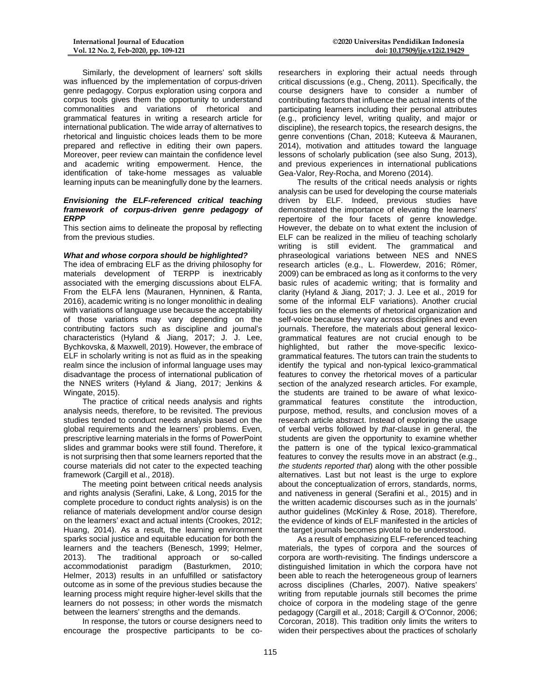Similarly, the development of learners' soft skills was influenced by the implementation of corpus-driven genre pedagogy. Corpus exploration using corpora and corpus tools gives them the opportunity to understand commonalities and variations of rhetorical and grammatical features in writing a research article for international publication. The wide array of alternatives to rhetorical and linguistic choices leads them to be more prepared and reflective in editing their own papers. Moreover, peer review can maintain the confidence level and academic writing empowerment. Hence, the identification of take-home messages as valuable learning inputs can be meaningfully done by the learners.

#### *Envisioning the ELF-referenced critical teaching framework of corpus-driven genre pedagogy of ERPP*

This section aims to delineate the proposal by reflecting from the previous studies.

#### *What and whose corpora should be highlighted?*

The idea of embracing ELF as the driving philosophy for materials development of TERPP is inextricably associated with the emerging discussions about ELFA. From the ELFA lens (Mauranen, Hynninen, & Ranta, 2016), academic writing is no longer monolithic in dealing with variations of language use because the acceptability of those variations may vary depending on the contributing factors such as discipline and journal's characteristics (Hyland & Jiang, 2017; J. J. Lee, Bychkovska, & Maxwell, 2019). However, the embrace of ELF in scholarly writing is not as fluid as in the speaking realm since the inclusion of informal language uses may disadvantage the process of international publication of the NNES writers (Hyland & Jiang, 2017; Jenkins & Wingate, 2015).

The practice of critical needs analysis and rights analysis needs, therefore, to be revisited. The previous studies tended to conduct needs analysis based on the global requirements and the learners' problems. Even, prescriptive learning materials in the forms of PowerPoint slides and grammar books were still found. Therefore, it is not surprising then that some learners reported that the course materials did not cater to the expected teaching framework (Cargill et al., 2018).

The meeting point between critical needs analysis and rights analysis (Serafini, Lake, & Long, 2015 for the complete procedure to conduct rights analysis) is on the reliance of materials development and/or course design on the learners' exact and actual intents (Crookes, 2012; Huang, 2014). As a result, the learning environment sparks social justice and equitable education for both the learners and the teachers (Benesch, 1999; Helmer, 2013). The traditional approach or so-called accommodationist paradigm (Basturkmen, 2010; Helmer, 2013) results in an unfulfilled or satisfactory outcome as in some of the previous studies because the learning process might require higher-level skills that the learners do not possess; in other words the mismatch between the learners' strengths and the demands.

In response, the tutors or course designers need to encourage the prospective participants to be co-

researchers in exploring their actual needs through critical discussions (e.g., Cheng, 2011). Specifically, the course designers have to consider a number of contributing factors that influence the actual intents of the participating learners including their personal attributes (e.g., proficiency level, writing quality, and major or discipline), the research topics, the research designs, the genre conventions (Chan, 2018; Kuteeva & Mauranen, 2014), motivation and attitudes toward the language lessons of scholarly publication (see also Sung, 2013), and previous experiences in international publications Gea-Valor, Rey-Rocha, and Moreno (2014).

The results of the critical needs analysis or rights analysis can be used for developing the course materials driven by ELF. Indeed, previous studies have demonstrated the importance of elevating the learners' repertoire of the four facets of genre knowledge. However, the debate on to what extent the inclusion of ELF can be realized in the milieu of teaching scholarly writing is still evident. The grammatical and phraseological variations between NES and NNES research articles (e.g., L. Flowerdew, 2016; Römer, 2009) can be embraced as long as it conforms to the very basic rules of academic writing; that is formality and clarity (Hyland & Jiang, 2017; J. J. Lee et al., 2019 for some of the informal ELF variations). Another crucial focus lies on the elements of rhetorical organization and self-voice because they vary across disciplines and even journals. Therefore, the materials about general lexicogrammatical features are not crucial enough to be highlighted, but rather the move-specific lexicogrammatical features. The tutors can train the students to identify the typical and non-typical lexico-grammatical features to convey the rhetorical moves of a particular section of the analyzed research articles. For example, the students are trained to be aware of what lexicogrammatical features constitute the introduction, purpose, method, results, and conclusion moves of a research article abstract. Instead of exploring the usage of verbal verbs followed by *that-*clause in general, the students are given the opportunity to examine whether the pattern is one of the typical lexico-grammatical features to convey the results move in an abstract (e.g., *the students reported that*) along with the other possible alternatives. Last but not least is the urge to explore about the conceptualization of errors, standards, norms, and nativeness in general (Serafini et al., 2015) and in the written academic discourses such as in the journals' author guidelines (McKinley & Rose, 2018). Therefore, the evidence of kinds of ELF manifested in the articles of the target journals becomes pivotal to be understood.

As a result of emphasizing ELF-referenced teaching materials, the types of corpora and the sources of corpora are worth-revisiting. The findings underscore a distinguished limitation in which the corpora have not been able to reach the heterogeneous group of learners across disciplines (Charles, 2007). Native speakers' writing from reputable journals still becomes the prime choice of corpora in the modeling stage of the genre pedagogy (Cargill et al., 2018; Cargill & O'Connor, 2006; Corcoran, 2018). This tradition only limits the writers to widen their perspectives about the practices of scholarly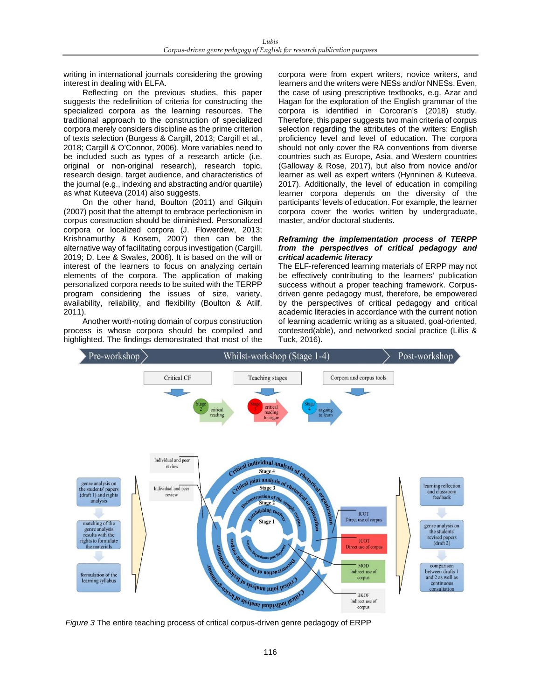writing in international journals considering the growing interest in dealing with ELFA.

Reflecting on the previous studies, this paper suggests the redefinition of criteria for constructing the specialized corpora as the learning resources. The traditional approach to the construction of specialized corpora merely considers discipline as the prime criterion of texts selection (Burgess & Cargill, 2013; Cargill et al., 2018; Cargill & O'Connor, 2006). More variables need to be included such as types of a research article (i.e. original or non-original research), research topic, research design, target audience, and characteristics of the journal (e.g., indexing and abstracting and/or quartile) as what Kuteeva (2014) also suggests.

On the other hand, Boulton (2011) and Gilquin (2007) posit that the attempt to embrace perfectionism in corpus construction should be diminished. Personalized corpora or localized corpora (J. Flowerdew, 2013; Krishnamurthy & Kosem, 2007) then can be the alternative way of facilitating corpus investigation (Cargill, 2019; D. Lee & Swales, 2006). It is based on the will or interest of the learners to focus on analyzing certain elements of the corpora. The application of making personalized corpora needs to be suited with the TERPP program considering the issues of size, variety, availability, reliability, and flexibility (Boulton & Atilf, 2011).

Another worth-noting domain of corpus construction process is whose corpora should be compiled and highlighted. The findings demonstrated that most of the

corpora were from expert writers, novice writers, and learners and the writers were NESs and/or NNESs. Even, the case of using prescriptive textbooks, e.g. Azar and Hagan for the exploration of the English grammar of the corpora is identified in Corcoran's (2018) study. Therefore, this paper suggests two main criteria of corpus selection regarding the attributes of the writers: English proficiency level and level of education. The corpora should not only cover the RA conventions from diverse countries such as Europe, Asia, and Western countries (Galloway & Rose, 2017), but also from novice and/or learner as well as expert writers (Hynninen & Kuteeva, 2017). Additionally, the level of education in compiling learner corpora depends on the diversity of the participants' levels of education. For example, the learner corpora cover the works written by undergraduate, master, and/or doctoral students.

## *Reframing the implementation process of TERPP from the perspectives of critical pedagogy and critical academic literacy*

The ELF-referenced learning materials of ERPP may not be effectively contributing to the learners' publication success without a proper teaching framework. Corpusdriven genre pedagogy must, therefore, be empowered by the perspectives of critical pedagogy and critical academic literacies in accordance with the current notion of learning academic writing as a situated, goal-oriented, contested(able), and networked social practice (Lillis & Tuck, 2016).



*Figure 3* The entire teaching process of critical corpus-driven genre pedagogy of ERPP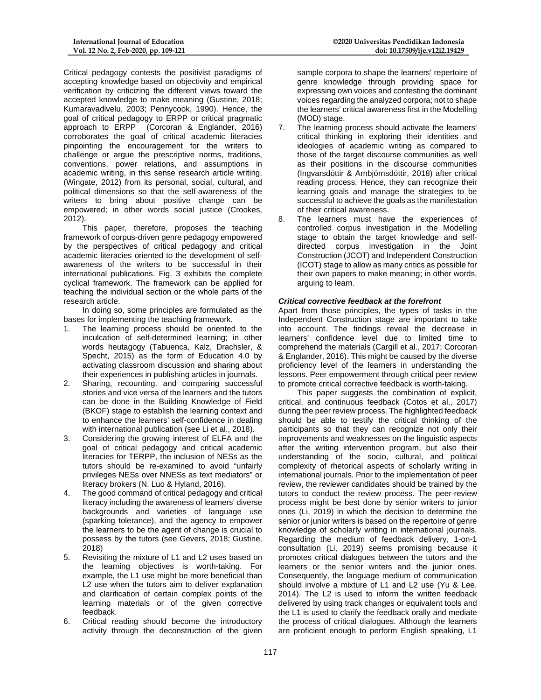Critical pedagogy contests the positivist paradigms of accepting knowledge based on objectivity and empirical verification by criticizing the different views toward the accepted knowledge to make meaning (Gustine, 2018; Kumaravadivelu, 2003; Pennycook, 1990). Hence, the goal of critical pedagogy to ERPP or critical pragmatic approach to ERPP (Corcoran & Englander, 2016) corroborates the goal of critical academic literacies pinpointing the encouragement for the writers to challenge or argue the prescriptive norms, traditions, conventions, power relations, and assumptions in academic writing, in this sense research article writing, (Wingate, 2012) from its personal, social, cultural, and political dimensions so that the self-awareness of the writers to bring about positive change can be empowered; in other words social justice (Crookes, 2012).

This paper, therefore, proposes the teaching framework of corpus-driven genre pedagogy empowered by the perspectives of critical pedagogy and critical academic literacies oriented to the development of selfawareness of the writers to be successful in their international publications. Fig. 3 exhibits the complete cyclical framework. The framework can be applied for teaching the individual section or the whole parts of the research article.

In doing so, some principles are formulated as the bases for implementing the teaching framework.

- 1. The learning process should be oriented to the inculcation of self-determined learning; in other words heutagogy (Tabuenca, Kalz, Drachsler, & Specht, 2015) as the form of Education 4.0 by activating classroom discussion and sharing about their experiences in publishing articles in journals.
- 2. Sharing, recounting, and comparing successful stories and vice versa of the learners and the tutors can be done in the Building Knowledge of Field (BKOF) stage to establish the learning context and to enhance the learners' self-confidence in dealing with international publication (see Li et al., 2018).
- 3. Considering the growing interest of ELFA and the goal of critical pedagogy and critical academic literacies for TERPP, the inclusion of NESs as the tutors should be re-examined to avoid "unfairly privileges NESs over NNESs as text mediators" or literacy brokers (N. Luo & Hyland, 2016).
- 4. The good command of critical pedagogy and critical literacy including the awareness of learners' diverse backgrounds and varieties of language use (sparking tolerance), and the agency to empower the learners to be the agent of change is crucial to possess by the tutors (see Gevers, 2018; Gustine, 2018)
- 5. Revisiting the mixture of L1 and L2 uses based on the learning objectives is worth-taking. For example, the L1 use might be more beneficial than L2 use when the tutors aim to deliver explanation and clarification of certain complex points of the learning materials or of the given corrective feedback.
- 6. Critical reading should become the introductory activity through the deconstruction of the given

sample corpora to shape the learners' repertoire of genre knowledge through providing space for expressing own voices and contesting the dominant voices regarding the analyzed corpora; not to shape the learners' critical awareness first in the Modelling (MOD) stage.

- 7. The learning process should activate the learners' critical thinking in exploring their identities and ideologies of academic writing as compared to those of the target discourse communities as well as their positions in the discourse communities (Ingvarsdóttir & Arnbjörnsdóttir, 2018) after critical reading process. Hence, they can recognize their learning goals and manage the strategies to be successful to achieve the goals as the manifestation of their critical awareness.
- 8. The learners must have the experiences of controlled corpus investigation in the Modelling stage to obtain the target knowledge and selfdirected corpus investigation in the Joint Construction (JCOT) and Independent Construction (ICOT) stage to allow as many critics as possible for their own papers to make meaning; in other words, arguing to learn.

# *Critical corrective feedback at the forefront*

Apart from those principles, the types of tasks in the Independent Construction stage are important to take into account. The findings reveal the decrease in learners' confidence level due to limited time to comprehend the materials (Cargill et al., 2017; Corcoran & Englander, 2016). This might be caused by the diverse proficiency level of the learners in understanding the lessons. Peer empowerment through critical peer review to promote critical corrective feedback is worth-taking.

This paper suggests the combination of explicit, critical, and continuous feedback (Cotos et al., 2017) during the peer review process. The highlighted feedback should be able to testify the critical thinking of the participants so that they can recognize not only their improvements and weaknesses on the linguistic aspects after the writing intervention program, but also their understanding of the socio, cultural, and political complexity of rhetorical aspects of scholarly writing in international journals. Prior to the implementation of peer review, the reviewer candidates should be trained by the tutors to conduct the review process. The peer-review process might be best done by senior writers to junior ones (Li, 2019) in which the decision to determine the senior or junior writers is based on the repertoire of genre knowledge of scholarly writing in international journals. Regarding the medium of feedback delivery, 1-on-1 consultation (Li, 2019) seems promising because it promotes critical dialogues between the tutors and the learners or the senior writers and the junior ones. Consequently, the language medium of communication should involve a mixture of L1 and L2 use (Yu & Lee, 2014). The L2 is used to inform the written feedback delivered by using track changes or equivalent tools and the L1 is used to clarify the feedback orally and mediate the process of critical dialogues. Although the learners are proficient enough to perform English speaking, L1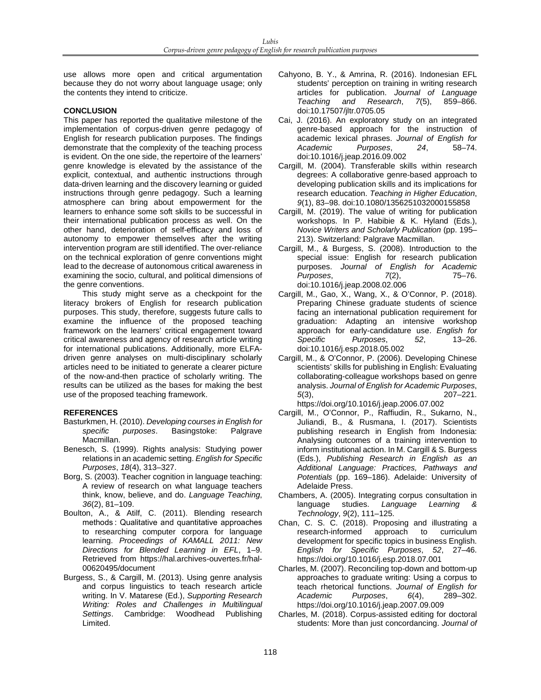use allows more open and critical argumentation because they do not worry about language usage; only the contents they intend to criticize.

## **CONCLUSION**

This paper has reported the qualitative milestone of the implementation of corpus-driven genre pedagogy of English for research publication purposes. The findings demonstrate that the complexity of the teaching process is evident. On the one side, the repertoire of the learners' genre knowledge is elevated by the assistance of the explicit, contextual, and authentic instructions through data-driven learning and the discovery learning or guided instructions through genre pedagogy. Such a learning atmosphere can bring about empowerment for the learners to enhance some soft skills to be successful in their international publication process as well. On the other hand, deterioration of self-efficacy and loss of autonomy to empower themselves after the writing intervention program are still identified. The over-reliance on the technical exploration of genre conventions might lead to the decrease of autonomous critical awareness in examining the socio, cultural, and political dimensions of the genre conventions.

This study might serve as a checkpoint for the literacy brokers of English for research publication purposes. This study, therefore, suggests future calls to examine the influence of the proposed teaching framework on the learners' critical engagement toward critical awareness and agency of research article writing for international publications. Additionally, more ELFAdriven genre analyses on multi-disciplinary scholarly articles need to be initiated to generate a clearer picture of the now-and-then practice of scholarly writing. The results can be utilized as the bases for making the best use of the proposed teaching framework.

# **REFERENCES**

- Basturkmen, H. (2010). *Developing courses in English for specific purposes*. Basingstoke: Palgrave Macmillan.
- Benesch, S. (1999). Rights analysis: Studying power relations in an academic setting. *English for Specific Purposes*, *18*(4), 313–327.
- Borg, S. (2003). Teacher cognition in language teaching: A review of research on what language teachers think, know, believe, and do. *Language Teaching*, *36*(2), 81–109.
- Boulton, A., & Atilf, C. (2011). Blending research methods : Qualitative and quantitative approaches to researching computer corpora for language learning. *Proceedings of KAMALL 2011: New Directions for Blended Learning in EFL*, 1–9. Retrieved from https://hal.archives-ouvertes.fr/hal-00620495/document
- Burgess, S., & Cargill, M. (2013). Using genre analysis and corpus linguistics to teach research article writing. In V. Matarese (Ed.), *Supporting Research Writing: Roles and Challenges in Multilingual Settings*. Cambridge: Woodhead Publishing Limited.
- Cahyono, B. Y., & Amrina, R. (2016). Indonesian EFL students' perception on training in writing research articles for publication. *Journal of Language Teaching and Research*, *7*(5), 859–866. doi:10.17507/jltr.0705.05
- Cai, J. (2016). An exploratory study on an integrated genre-based approach for the instruction of academic lexical phrases. *Journal of English for*   $P$ *urposes*, doi:10.1016/j.jeap.2016.09.002
- Cargill, M. (2004). Transferable skills within research degrees: A collaborative genre‐based approach to developing publication skills and its implications for research education. *Teaching in Higher Education*, *9*(1), 83–98. doi:10.1080/1356251032000155858
- Cargill, M. (2019). The value of writing for publication workshops. In P. Habibie & K. Hyland (Eds.), *Novice Writers and Scholarly Publication* (pp. 195– 213). Switzerland: Palgrave Macmillan.
- Cargill, M., & Burgess, S. (2008). Introduction to the special issue: English for research publication purposes. *Journal of English for Academic Purposes*, *7*(2), doi:10.1016/j.jeap.2008.02.006
- Cargill, M., Gao, X., Wang, X., & O'Connor, P. (2018). Preparing Chinese graduate students of science facing an international publication requirement for graduation: Adapting an intensive workshop approach for early-candidature use. *English for Specific Purposes,* doi:10.1016/j.esp.2018.05.002
- Cargill, M., & O'Connor, P. (2006). Developing Chinese scientists' skills for publishing in English: Evaluating collaborating-colleague workshops based on genre analysis. *Journal of English for Academic Purposes*, *5*(3), 207–221.

https://doi.org/10.1016/j.jeap.2006.07.002 Cargill, M., O'Connor, P., Raffiudin, R., Sukarno, N., Juliandi, B., & Rusmana, I. (2017). Scientists publishing research in English from Indonesia: Analysing outcomes of a training intervention to inform institutional action. In M. Cargill & S. Burgess (Eds.), *Publishing Research in English as an Additional Language: Practices, Pathways and Potentials* (pp. 169–186). Adelaide: University of

- Adelaide Press. Chambers, A. (2005). Integrating corpus consultation in<br>language studies. Language Learning & Language Learning & *Technology*, *9*(2), 111–125.
- Chan, C. S. C. (2018). Proposing and illustrating a research-informed approach to curriculum development for specific topics in business English. *English for Specific Purposes*, *52*, 27–46. https://doi.org/10.1016/j.esp.2018.07.001
- Charles, M. (2007). Reconciling top-down and bottom-up approaches to graduate writing: Using a corpus to teach rhetorical functions. *Journal of English for*   $Purpose$ <sub>5</sub>, https://doi.org/10.1016/j.jeap.2007.09.009
- Charles, M. (2018). Corpus-assisted editing for doctoral students: More than just concordancing. *Journal of*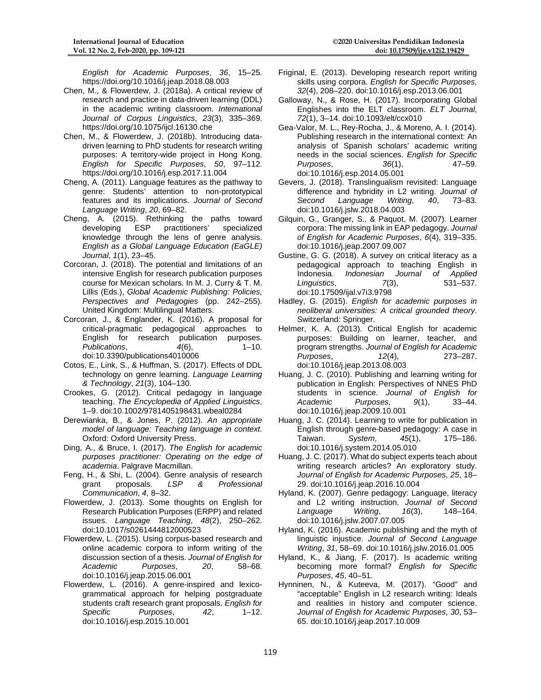*English for Academic Purposes*, *36*, 15–25. https://doi.org/10.1016/j.jeap.2018.08.003

- Chen, M., & Flowerdew, J. (2018a). A critical review of research and practice in data-driven learning (DDL) in the academic writing classroom. *International Journal of Corpus Linguistics*, *23*(3), 335–369. https://doi.org/10.1075/ijcl.16130.che
- Chen, M., & Flowerdew, J. (2018b). Introducing datadriven learning to PhD students for research writing purposes: A territory-wide project in Hong Kong. *English for Specific Purposes*, *50*, 97–112. https://doi.org/10.1016/j.esp.2017.11.004
- Cheng, A. (2011). Language features as the pathway to genre: Students' attention to non-prototypical features and its implications. *Journal of Second Language Writing*, *20*, 69–82.
- Cheng, A. (2015). Rethinking the paths toward developing ESP practitioners' specialized knowledge through the lens of genre analysis. *English as a Global Language Education (EaGLE) Journal*, *1*(1), 23–45.
- Corcoran, J. (2018). The potential and limitations of an intensive English for research publication purposes course for Mexican scholars. In M. J. Curry & T. M. Lillis (Eds.), *Global Academic Publishing: Policies, Perspectives and Pedagogies* (pp. 242–255). United Kingdom: Multilingual Matters.
- Corcoran, J., & Englander, K. (2016). A proposal for critical-pragmatic pedagogical approaches to English for research publication purposes. *Publications*, *4*(6), 1–10. doi:10.3390/publications4010006
- Cotos, E., Link, S., & Huffman, S. (2017). Effects of DDL technology on genre learning. *Language Learning & Technology*, *21*(3), 104–130.
- Crookes, G. (2012). Critical pedagogy in language teaching. *The Encyclopedia of Applied Linguistics*, 1–9. doi:10.1002/9781405198431.wbeal0284
- Derewianka, B., & Jones, P. (2012). *An appropriate model of language: Teaching language in context*. Oxford: Oxford University Press.
- Ding, A., & Bruce, I. (2017). *The English for academic purposes practitioner: Operating on the edge of academia*. Palgrave Macmillan.
- Feng, H., & Shi, L. (2004). Genre analysis of research<br>grant proposals. LSP & Professional  $Professional$ *Communication*, *4*, 8–32.
- Flowerdew, J. (2013). Some thoughts on English for Research Publication Purposes (ERPP) and related issues. *Language Teaching*, *48*(2), 250–262. doi:10.1017/s0261444812000523
- Flowerdew, L. (2015). Using corpus-based research and online academic corpora to inform writing of the discussion section of a thesis. *Journal of English for Academic Purposes*, *20*, 58–68. doi:10.1016/j.jeap.2015.06.001
- Flowerdew, L. (2016). A genre-inspired and lexicogrammatical approach for helping postgraduate students craft research grant proposals. *English for Specific Purposes*, *42*, 1–12. doi:10.1016/j.esp.2015.10.001
- Friginal, E. (2013). Developing research report writing skills using corpora. *English for Specific Purposes*, *32*(4), 208–220. doi:10.1016/j.esp.2013.06.001
- Galloway, N., & Rose, H. (2017). Incorporating Global Englishes into the ELT classroom. *ELT Journal*, *72*(1), 3–14. doi:10.1093/elt/ccx010
- Gea-Valor, M. L., Rey-Rocha, J., & Moreno, A. I. (2014). Publishing research in the international context: An analysis of Spanish scholars' academic writing needs in the social sciences. *English for Specific*   $P$ urposes. doi:10.1016/j.esp.2014.05.001
- Gevers, J. (2018). Translingualism revisited: Language difference and hybridity in L2 writing. *Journal of Language* doi:10.1016/j.jslw.2018.04.003
- Gilquin, G., Granger, S., & Paquot, M. (2007). Learner corpora: The missing link in EAP pedagogy. *Journal of English for Academic Purposes*, *6*(4), 319–335. doi:10.1016/j.jeap.2007.09.007
- Gustine, G. G. (2018). A survey on critical literacy as a pedagogical approach to teaching English in Indonesia. *Indonesian Journal of Applied Linguistics.* doi:10.17509/ijal.v7i3.9798
- Hadley, G. (2015). *English for academic purposes in neoliberal universities: A critical grounded theory*. Switzerland: Springer.
- Helmer, K. A. (2013). Critical English for academic purposes: Building on learner, teacher, and program strengths. *Journal of English for Academic Purposes*, 22(4), doi:10.1016/j.jeap.2013.08.003
- Huang, J. C. (2010). Publishing and learning writing for publication in English: Perspectives of NNES PhD students in science. *Journal of English for*   $Purpose$ <sub>5</sub>, doi:10.1016/j.jeap.2009.10.001
- Huang, J. C. (2014). Learning to write for publication in English through genre-based pedagogy: A case in Taiwan. *System*, *45*(1), 175–186. doi:10.1016/j.system.2014.05.010
- Huang, J. C. (2017). What do subject experts teach about writing research articles? An exploratory study. *Journal of English for Academic Purposes*, *25*, 18– 29. doi:10.1016/j.jeap.2016.10.004
- Hyland, K. (2007). Genre pedagogy: Language, literacy and L2 writing instruction. *Journal of Second Language Writing*, *16*(3), 148–164. doi:10.1016/j.jslw.2007.07.005
- Hyland, K. (2016). Academic publishing and the myth of linguistic injustice. *Journal of Second Language Writing*, *31*, 58–69. doi:10.1016/j.jslw.2016.01.005
- Hyland, K., & Jiang, F. (2017). Is academic writing becoming more formal? *English for Specific Purposes*, *45*, 40–51.
- Hynninen, N., & Kuteeva, M. (2017). "Good" and "acceptable" English in L2 research writing: Ideals and realities in history and computer science. *Journal of English for Academic Purposes*, *30*, 53– 65. doi:10.1016/j.jeap.2017.10.009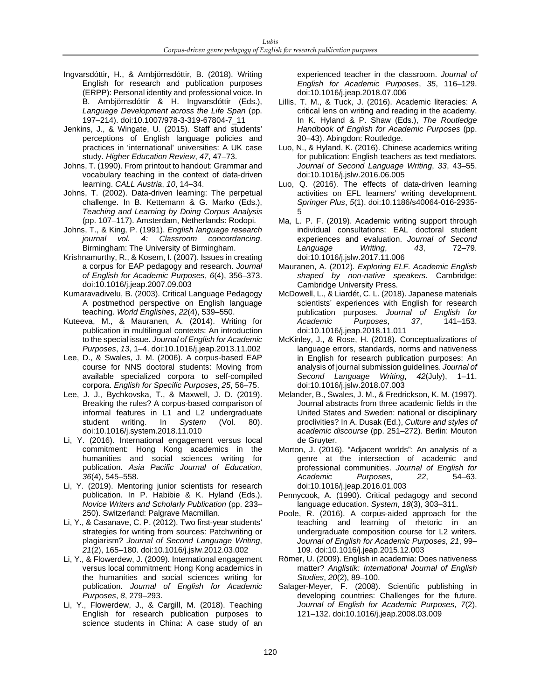- Ingvarsdóttir, H., & Arnbjörnsdóttir, B. (2018). Writing English for research and publication purposes (ERPP): Personal identity and professional voice. In B. Arnbjörnsdóttir & H. Ingvarsdóttir (Eds.), *Language Development across the Life Span* (pp. 197–214). doi:10.1007/978-3-319-67804-7\_11
- Jenkins, J., & Wingate, U. (2015). Staff and students' perceptions of English language policies and practices in 'international' universities: A UK case study. *Higher Education Review*, *47*, 47–73.
- Johns, T. (1990). From printout to handout: Grammar and vocabulary teaching in the context of data-driven learning. *CALL Austria*, *10*, 14–34.
- Johns, T. (2002). Data-driven learning: The perpetual challenge. In B. Kettemann & G. Marko (Eds.), *Teaching and Learning by Doing Corpus Analysis* (pp. 107–117). Amsterdam, Netherlands: Rodopi.
- Johns, T., & King, P. (1991). *English language research journal vol. 4: Classroom concordancing*. Birmingham: The University of Birmingham.
- Krishnamurthy, R., & Kosem, I. (2007). Issues in creating a corpus for EAP pedagogy and research. *Journal of English for Academic Purposes*, *6*(4), 356–373. doi:10.1016/j.jeap.2007.09.003
- Kumaravadivelu, B. (2003). Critical Language Pedagogy A postmethod perspective on English language teaching. *World Englishes*, *22*(4), 539–550.
- Kuteeva, M., & Mauranen, A. (2014). Writing for publication in multilingual contexts: An introduction to the special issue. *Journal of English for Academic Purposes*, *13*, 1–4. doi:10.1016/j.jeap.2013.11.002
- Lee, D., & Swales, J. M. (2006). A corpus-based EAP course for NNS doctoral students: Moving from available specialized corpora to self-compiled corpora. *English for Specific Purposes*, *25*, 56–75.
- Lee, J. J., Bychkovska, T., & Maxwell, J. D. (2019). Breaking the rules? A corpus-based comparison of informal features in L1 and L2 undergraduate student writing. In *System* (Vol. 80). doi:10.1016/j.system.2018.11.010
- Li, Y. (2016). International engagement versus local commitment: Hong Kong academics in the humanities and social sciences writing for publication. *Asia Pacific Journal of Education*, *36*(4), 545–558.
- Li, Y. (2019). Mentoring junior scientists for research publication. In P. Habibie & K. Hyland (Eds.), *Novice Writers and Scholarly Publication* (pp. 233– 250). Switzerland: Palgrave Macmillan.
- Li, Y., & Casanave, C. P. (2012). Two first-year students' strategies for writing from sources: Patchwriting or plagiarism? *Journal of Second Language Writing*, *21*(2), 165–180. doi:10.1016/j.jslw.2012.03.002
- Li, Y., & Flowerdew, J. (2009). International engagement versus local commitment: Hong Kong academics in the humanities and social sciences writing for publication. *Journal of English for Academic Purposes*, *8*, 279–293.
- Li, Y., Flowerdew, J., & Cargill, M. (2018). Teaching English for research publication purposes to science students in China: A case study of an

experienced teacher in the classroom. *Journal of English for Academic Purposes*, *35*, 116–129. doi:10.1016/j.jeap.2018.07.006

- Lillis, T. M., & Tuck, J. (2016). Academic literacies: A critical lens on writing and reading in the academy. In K. Hyland & P. Shaw (Eds.), *The Routledge Handbook of English for Academic Purposes* (pp. 30–43). Abingdon: Routledge.
- Luo, N., & Hyland, K. (2016). Chinese academics writing for publication: English teachers as text mediators. *Journal of Second Language Writing*, *33*, 43–55. doi:10.1016/j.jslw.2016.06.005
- Luo, Q. (2016). The effects of data-driven learning activities on EFL learners' writing development. *Springer Plus*, *5*(1). doi:10.1186/s40064-016-2935- 5
- Ma, L. P. F. (2019). Academic writing support through individual consultations: EAL doctoral student experiences and evaluation. *Journal of Second*   $L$ *anguage* doi:10.1016/j.jslw.2017.11.006
- Mauranen, A. (2012). *Exploring ELF. Academic English shaped by non-native speakers*. Cambridge: Cambridge University Press.
- McDowell, L., & Liardét, C. L. (2018). Japanese materials scientists' experiences with English for research publication purposes. *Journal of English for Academic Purposes*, *37*, 141–153. doi:10.1016/j.jeap.2018.11.011
- McKinley, J., & Rose, H. (2018). Conceptualizations of language errors, standards, norms and nativeness in English for research publication purposes: An analysis of journal submission guidelines. *Journal of*  **Second Language Writing,** doi:10.1016/j.jslw.2018.07.003
- Melander, B., Swales, J. M., & Fredrickson, K. M. (1997). Journal abstracts from three academic fields in the United States and Sweden: national or disciplinary proclivities? In A. Dusak (Ed.), *Culture and styles of academic discourse* (pp. 251–272). Berlin: Mouton de Gruyter.
- Morton, J. (2016). "Adjacent worlds": An analysis of a genre at the intersection of academic and professional communities. *Journal of English for*  Academic Purposes, 22. doi:10.1016/j.jeap.2016.01.003
- Pennycook, A. (1990). Critical pedagogy and second language education. *System*, *18*(3), 303–311.
- Poole, R. (2016). A corpus-aided approach for the teaching and learning of rhetoric in an undergraduate composition course for L2 writers. *Journal of English for Academic Purposes*, *21*, 99– 109. doi:10.1016/j.jeap.2015.12.003
- Römer, U. (2009). English in academia: Does nativeness matter? *Anglistik: International Journal of English Studies*, *20*(2), 89–100.
- Salager-Meyer, F. (2008). Scientific publishing in developing countries: Challenges for the future. *Journal of English for Academic Purposes*, *7*(2), 121–132. doi:10.1016/j.jeap.2008.03.009